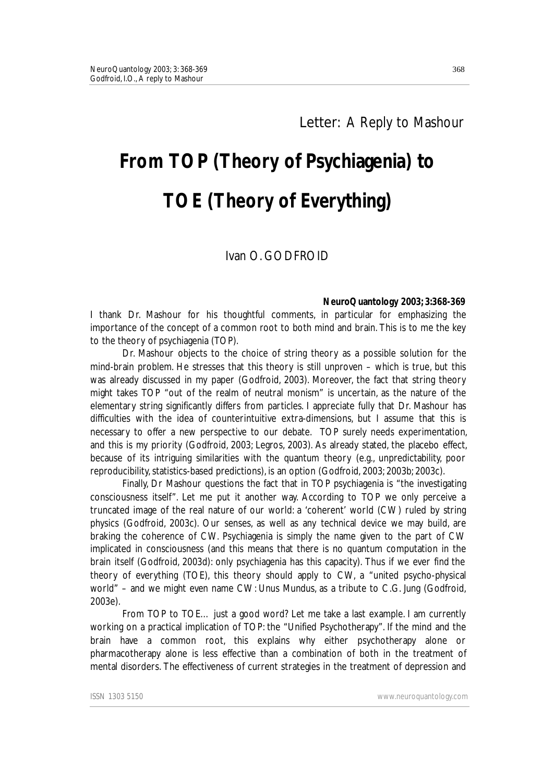## Letter: A Reply to Mashour

# **From TOP (Theory of Psychiagenia) to TOE (Theory of Everything)**

### Ivan O. GODFROID

#### **NeuroQuantology 2003; 3:368-369**

I thank Dr. Mashour for his thoughtful comments, in particular for emphasizing the importance of the concept of a common root to both mind and brain. This is to me the key to the theory of psychiagenia (TOP).

Dr. Mashour objects to the choice of string theory as a possible solution for the mind-brain problem. He stresses that this theory is still unproven – which is true, but this was already discussed in my paper (Godfroid, 2003). Moreover, the fact that string theory might takes TOP "out of the realm of neutral monism" is uncertain, as the nature of the elementary string significantly differs from particles. I appreciate fully that Dr. Mashour has difficulties with the idea of counterintuitive extra-dimensions, but I assume that this is necessary to offer a new perspective to our debate. TOP surely needs experimentation, and this is my priority (Godfroid, 2003; Legros, 2003). As already stated, the placebo effect, because of its intriguing similarities with the quantum theory (e.g., unpredictability, poor reproducibility, statistics-based predictions), is an option (Godfroid, 2003; 2003b; 2003c).

Finally, Dr Mashour questions the fact that in TOP psychiagenia is "the investigating consciousness itself". Let me put it another way. According to TOP we only perceive a truncated image of the real nature of our world: a 'coherent' world (CW) ruled by string physics (Godfroid, 2003c). Our senses, as well as any technical device we may build, are braking the coherence of CW. Psychiagenia is simply the name given to the part of CW implicated in consciousness (and this means that there is no quantum computation in the brain itself (Godfroid, 2003d): only psychiagenia has this capacity). Thus if we ever find *the* theory of everything (TOE), this theory should apply to CW, a "united psycho-physical world" – and we might even name CW: *Unus Mundus*, as a tribute to C.G. Jung (Godfroid, 2003e).

*From TOP to TOE*… just a good word? Let me take a last example. I am currently working on a practical implication of TOP: the "Unified Psychotherapy". If the mind and the brain have a common root, this explains why either psychotherapy alone or pharmacotherapy alone is less effective than a combination of both in the treatment of mental disorders. The effectiveness of current strategies in the treatment of depression and